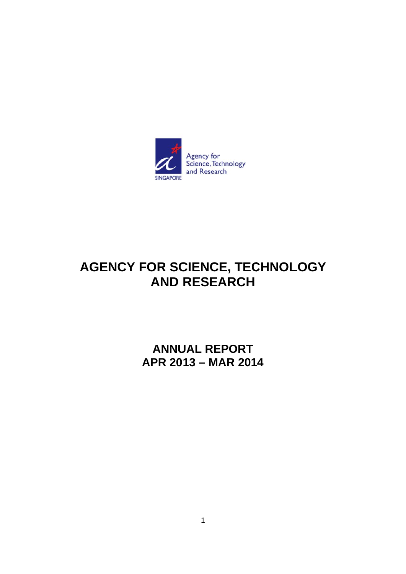

# AGENCY FOR SCIENCE, TECHNOLOGY **AND RESEARCH**

**ANNUAL REPORT** APR 2013 - MAR 2014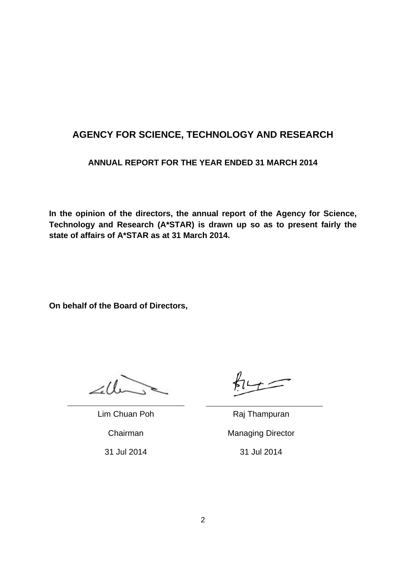# **AGENCY FOR SCIENCE, TECHNOLOGY AND RESEARCH**

## **ANNUAL REPORT FOR THE YEAR ENDED 31 MARCH 2014**

**In the opinion of the directors, the annual report of the Agency for Science, Technology and Research (A\*STAR) is drawn up so as to present fairly the state of affairs of A\*STAR as at 31 March 2014.** 

**On behalf of the Board of Directors,** 

2.U

Lim Chuan Poh Raj Thampuran Chairman Managing Director 31 Jul 2014 31 Jul 2014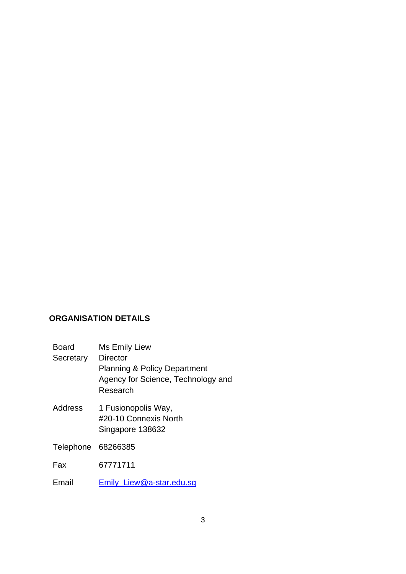## **ORGANISATION DETAILS**

Board Ms Emily Liew

**Secretary Director** 

Planning & Policy Department Agency for Science, Technology and Research

Address 1 Fusionopolis Way, #20-10 Connexis North Singapore 138632

Telephone 68266385

Fax 67771711

Email Emily\_Liew@a-star.edu.sg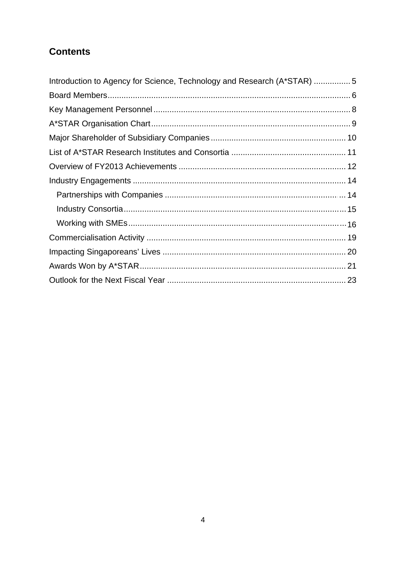# **Contents**

| Introduction to Agency for Science, Technology and Research (A*STAR) 5 |  |
|------------------------------------------------------------------------|--|
|                                                                        |  |
|                                                                        |  |
|                                                                        |  |
|                                                                        |  |
|                                                                        |  |
|                                                                        |  |
|                                                                        |  |
|                                                                        |  |
|                                                                        |  |
|                                                                        |  |
|                                                                        |  |
|                                                                        |  |
|                                                                        |  |
|                                                                        |  |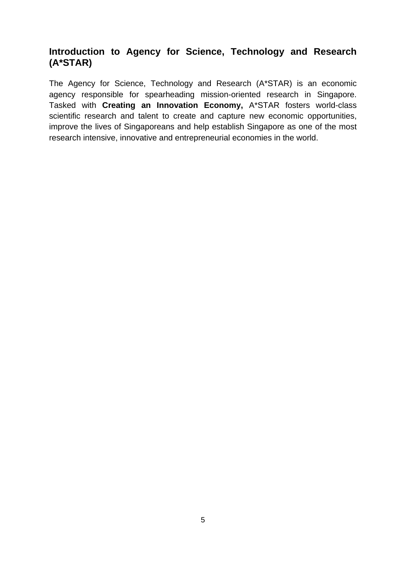# **Introduction to Agency for Science, Technology and Research (A\*STAR)**

The Agency for Science, Technology and Research (A\*STAR) is an economic agency responsible for spearheading mission-oriented research in Singapore. Tasked with **Creating an Innovation Economy,** A\*STAR fosters world-class scientific research and talent to create and capture new economic opportunities, improve the lives of Singaporeans and help establish Singapore as one of the most research intensive, innovative and entrepreneurial economies in the world.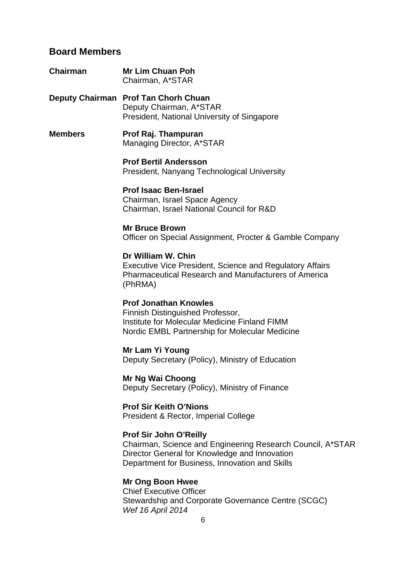# **Board Members**

| Chairman       | <b>Mr Lim Chuan Poh</b><br>Chairman, A*STAR                                                                                                                                                    |
|----------------|------------------------------------------------------------------------------------------------------------------------------------------------------------------------------------------------|
|                | Deputy Chairman Prof Tan Chorh Chuan<br>Deputy Chairman, A*STAR<br>President, National University of Singapore                                                                                 |
| <b>Members</b> | Prof Raj. Thampuran<br>Managing Director, A*STAR                                                                                                                                               |
|                | <b>Prof Bertil Andersson</b><br>President, Nanyang Technological University                                                                                                                    |
|                | <b>Prof Isaac Ben-Israel</b><br>Chairman, Israel Space Agency<br>Chairman, Israel National Council for R&D                                                                                     |
|                | <b>Mr Bruce Brown</b><br>Officer on Special Assignment, Procter & Gamble Company                                                                                                               |
|                | Dr William W. Chin<br><b>Executive Vice President, Science and Regulatory Affairs</b><br><b>Pharmaceutical Research and Manufacturers of America</b><br>(PhRMA)                                |
|                | <b>Prof Jonathan Knowles</b><br>Finnish Distinguished Professor,<br>Institute for Molecular Medicine Finland FIMM<br>Nordic EMBL Partnership for Molecular Medicine                            |
|                | <b>Mr Lam Yi Young</b><br>Deputy Secretary (Policy), Ministry of Education                                                                                                                     |
|                | Mr Ng Wai Choong<br>Deputy Secretary (Policy), Ministry of Finance                                                                                                                             |
|                | <b>Prof Sir Keith O'Nions</b><br>President & Rector, Imperial College                                                                                                                          |
|                | <b>Prof Sir John O'Reilly</b><br>Chairman, Science and Engineering Research Council, A*STAR<br>Director General for Knowledge and Innovation<br>Department for Business, Innovation and Skills |
|                | <b>Mr Ong Boon Hwee</b>                                                                                                                                                                        |

Chief Executive Officer Stewardship and Corporate Governance Centre (SCGC) *Wef 16 April 2014*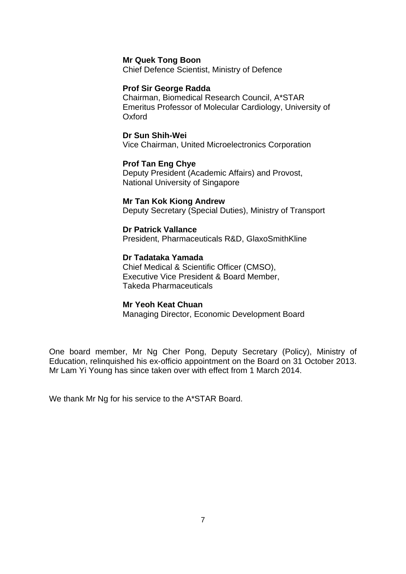#### **Mr Quek Tong Boon**

Chief Defence Scientist, Ministry of Defence

#### **Prof Sir George Radda**

Chairman, Biomedical Research Council, A\*STAR Emeritus Professor of Molecular Cardiology, University of Oxford

#### **Dr Sun Shih-Wei**

Vice Chairman, United Microelectronics Corporation

#### **Prof Tan Eng Chye**

Deputy President (Academic Affairs) and Provost, National University of Singapore

#### **Mr Tan Kok Kiong Andrew**

Deputy Secretary (Special Duties), Ministry of Transport

#### **Dr Patrick Vallance**

President, Pharmaceuticals R&D, GlaxoSmithKline

#### **Dr Tadataka Yamada**

Chief Medical & Scientific Officer (CMSO), Executive Vice President & Board Member, Takeda Pharmaceuticals

#### **Mr Yeoh Keat Chuan**

Managing Director, Economic Development Board

One board member, Mr Ng Cher Pong, Deputy Secretary (Policy), Ministry of Education, relinquished his ex-officio appointment on the Board on 31 October 2013. Mr Lam Yi Young has since taken over with effect from 1 March 2014.

We thank Mr Ng for his service to the A\*STAR Board.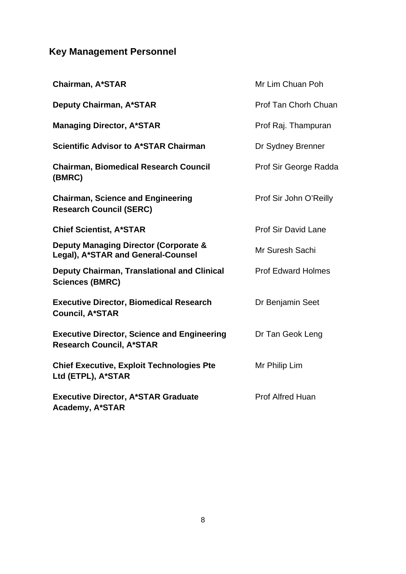# **Key Management Personnel**

| <b>Chairman, A*STAR</b>                                                                | Mr Lim Chuan Poh           |
|----------------------------------------------------------------------------------------|----------------------------|
| <b>Deputy Chairman, A*STAR</b>                                                         | Prof Tan Chorh Chuan       |
| <b>Managing Director, A*STAR</b>                                                       | Prof Raj. Thampuran        |
| <b>Scientific Advisor to A*STAR Chairman</b>                                           | Dr Sydney Brenner          |
| <b>Chairman, Biomedical Research Council</b><br>(BMRC)                                 | Prof Sir George Radda      |
| <b>Chairman, Science and Engineering</b><br><b>Research Council (SERC)</b>             | Prof Sir John O'Reilly     |
| <b>Chief Scientist, A*STAR</b>                                                         | <b>Prof Sir David Lane</b> |
| <b>Deputy Managing Director (Corporate &amp;</b><br>Legal), A*STAR and General-Counsel | Mr Suresh Sachi            |
| Deputy Chairman, Translational and Clinical<br><b>Sciences (BMRC)</b>                  | <b>Prof Edward Holmes</b>  |
| <b>Executive Director, Biomedical Research</b><br><b>Council, A*STAR</b>               | Dr Benjamin Seet           |
| <b>Executive Director, Science and Engineering</b><br><b>Research Council, A*STAR</b>  | Dr Tan Geok Leng           |
| <b>Chief Executive, Exploit Technologies Pte</b><br>Ltd (ETPL), A*STAR                 | Mr Philip Lim              |
| <b>Executive Director, A*STAR Graduate</b><br><b>Academy, A*STAR</b>                   | <b>Prof Alfred Huan</b>    |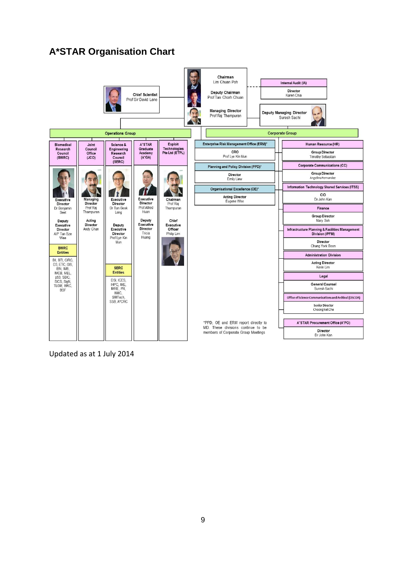# **A\*STAR Organisation Chart**



Updated as at 1 July 2014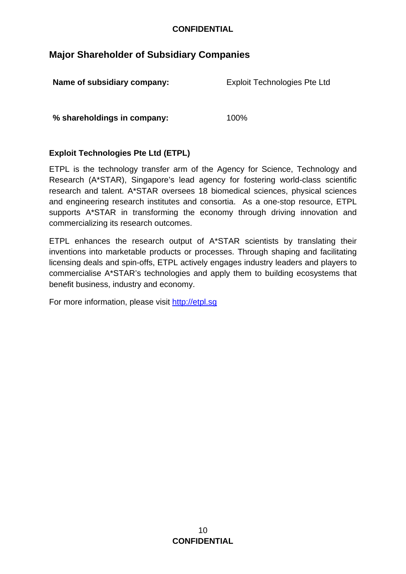## **Major Shareholder of Subsidiary Companies**

| Name of subsidiary company: | <b>Exploit Technologies Pte Ltd</b> |
|-----------------------------|-------------------------------------|
| % shareholdings in company: | 100%                                |

## **Exploit Technologies Pte Ltd (ETPL)**

ETPL is the technology transfer arm of the Agency for Science, Technology and Research (A\*STAR), Singapore's lead agency for fostering world-class scientific research and talent. A\*STAR oversees 18 biomedical sciences, physical sciences and engineering research institutes and consortia. As a one-stop resource, ETPL supports A\*STAR in transforming the economy through driving innovation and commercializing its research outcomes.

ETPL enhances the research output of A\*STAR scientists by translating their inventions into marketable products or processes. Through shaping and facilitating licensing deals and spin-offs, ETPL actively engages industry leaders and players to commercialise A\*STAR's technologies and apply them to building ecosystems that benefit business, industry and economy.

For more information, please visit http://etpl.sg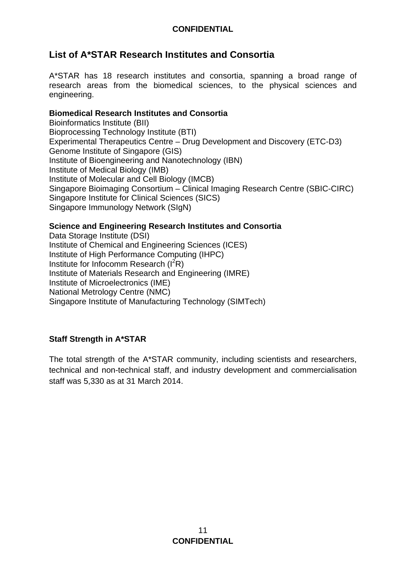# **List of A\*STAR Research Institutes and Consortia**

A\*STAR has 18 research institutes and consortia, spanning a broad range of research areas from the biomedical sciences, to the physical sciences and engineering.

## **Biomedical Research Institutes and Consortia**

Bioinformatics Institute (BII) Bioprocessing Technology Institute (BTI) Experimental Therapeutics Centre – Drug Development and Discovery (ETC-D3) Genome Institute of Singapore (GIS) Institute of Bioengineering and Nanotechnology (IBN) Institute of Medical Biology (IMB) Institute of Molecular and Cell Biology (IMCB) Singapore Bioimaging Consortium – Clinical Imaging Research Centre (SBIC-CIRC) Singapore Institute for Clinical Sciences (SICS) Singapore Immunology Network (SIgN)

## **Science and Engineering Research Institutes and Consortia**

Data Storage Institute (DSI) Institute of Chemical and Engineering Sciences (ICES) Institute of High Performance Computing (IHPC) Institute for Infocomm Research  $(I^2R)$ Institute of Materials Research and Engineering (IMRE) Institute of Microelectronics (IME) National Metrology Centre (NMC) Singapore Institute of Manufacturing Technology (SIMTech)

## **Staff Strength in A\*STAR**

The total strength of the A\*STAR community, including scientists and researchers, technical and non-technical staff, and industry development and commercialisation staff was 5,330 as at 31 March 2014.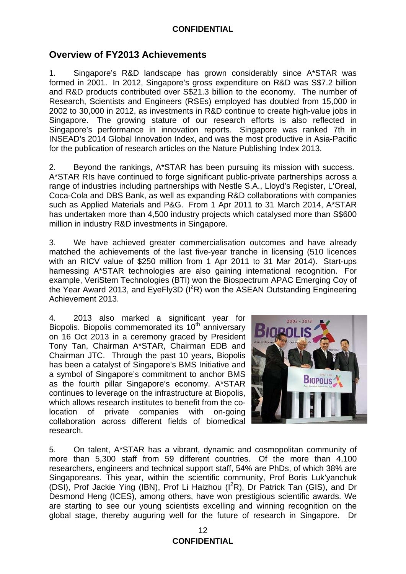## **Overview of FY2013 Achievements**

1. Singapore's R&D landscape has grown considerably since A\*STAR was formed in 2001. In 2012, Singapore's gross expenditure on R&D was S\$7.2 billion and R&D products contributed over S\$21.3 billion to the economy. The number of Research, Scientists and Engineers (RSEs) employed has doubled from 15,000 in 2002 to 30,000 in 2012, as investments in R&D continue to create high-value jobs in Singapore.The growing stature of our research efforts is also reflected in Singapore's performance in innovation reports. Singapore was ranked 7th in INSEAD's 2014 Global Innovation Index, and was the most productive in Asia-Pacific for the publication of research articles on the Nature Publishing Index 2013.

2. Beyond the rankings, A\*STAR has been pursuing its mission with success. A\*STAR RIs have continued to forge significant public-private partnerships across a range of industries including partnerships with Nestle S.A., Lloyd's Register, L'Oreal, Coca-Cola and DBS Bank, as well as expanding R&D collaborations with companies such as Applied Materials and P&G. From 1 Apr 2011 to 31 March 2014, A\*STAR has undertaken more than 4,500 industry projects which catalysed more than S\$600 million in industry R&D investments in Singapore.

3. We have achieved greater commercialisation outcomes and have already matched the achievements of the last five-year tranche in licensing (510 licences with an RICV value of \$250 million from 1 Apr 2011 to 31 Mar 2014). Start-ups harnessing A\*STAR technologies are also gaining international recognition. For example, VeriStem Technologies (BTI) won the Biospectrum APAC Emerging Coy of the Year Award 2013, and EyeFly3D  $(I^2R)$  won the ASEAN Outstanding Engineering Achievement 2013.

4. 2013 also marked a significant year for Biopolis. Biopolis commemorated its  $10<sup>th</sup>$  anniversary on 16 Oct 2013 in a ceremony graced by President Tony Tan, Chairman A\*STAR, Chairman EDB and Chairman JTC. Through the past 10 years, Biopolis has been a catalyst of Singapore's BMS Initiative and a symbol of Singapore's commitment to anchor BMS as the fourth pillar Singapore's economy. A\*STAR continues to leverage on the infrastructure at Biopolis, which allows research institutes to benefit from the colocation of private companies with on-going collaboration across different fields of biomedical research.



5. On talent, A\*STAR has a vibrant, dynamic and cosmopolitan community of more than 5,300 staff from 59 different countries. Of the more than 4,100 researchers, engineers and technical support staff, 54% are PhDs, of which 38% are Singaporeans. This year, within the scientific community, Prof Boris Luk'yanchuk (DSI), Prof Jackie Ying (IBN), Prof Li Haizhou (I<sup>2</sup>R), Dr Patrick Tan (GIS), and Dr Desmond Heng (ICES), among others, have won prestigious scientific awards. We are starting to see our young scientists excelling and winning recognition on the global stage, thereby auguring well for the future of research in Singapore. Dr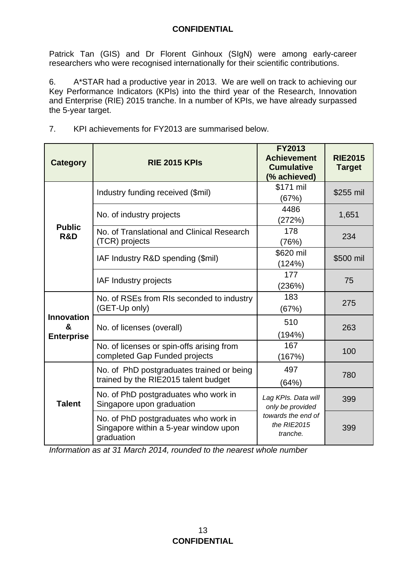Patrick Tan (GIS) and Dr Florent Ginhoux (SIgN) were among early-career researchers who were recognised internationally for their scientific contributions.

6. A\*STAR had a productive year in 2013. We are well on track to achieving our Key Performance Indicators (KPIs) into the third year of the Research, Innovation and Enterprise (RIE) 2015 tranche. In a number of KPIs, we have already surpassed the 5-year target.

| <b>Category</b>                             | <b>RIE 2015 KPIs</b>                                                                        | <b>FY2013</b><br><b>Achievement</b><br><b>Cumulative</b><br>(% achieved) | <b>RIE2015</b><br><b>Target</b> |
|---------------------------------------------|---------------------------------------------------------------------------------------------|--------------------------------------------------------------------------|---------------------------------|
| <b>Public</b><br>R&D                        | Industry funding received (\$mil)                                                           | \$171 mil<br>(67%)                                                       | \$255 mil                       |
|                                             | No. of industry projects                                                                    | 4486<br>(272%)                                                           | 1,651                           |
|                                             | No. of Translational and Clinical Research<br>(TCR) projects                                | 178<br>(76%)                                                             | 234                             |
|                                             | IAF Industry R&D spending (\$mil)                                                           | \$620 mil<br>(124%)                                                      | \$500 mil                       |
|                                             | IAF Industry projects                                                                       | 177<br>(236%)                                                            | 75                              |
| <b>Innovation</b><br>&<br><b>Enterprise</b> | No. of RSEs from RIs seconded to industry<br>(GET-Up only)                                  | 183<br>(67%)                                                             | 275                             |
|                                             | No. of licenses (overall)                                                                   | 510<br>(194%)                                                            | 263                             |
|                                             | No. of licenses or spin-offs arising from<br>completed Gap Funded projects                  | 167<br>(167%)                                                            | 100                             |
| <b>Talent</b>                               | No. of PhD postgraduates trained or being<br>trained by the RIE2015 talent budget           | 497<br>(64%)                                                             | 780                             |
|                                             | No. of PhD postgraduates who work in<br>Singapore upon graduation                           | Lag KPIs. Data will<br>only be provided                                  | 399                             |
|                                             | No. of PhD postgraduates who work in<br>Singapore within a 5-year window upon<br>graduation | towards the end of<br>the RIE2015<br>tranche.                            | 399                             |

7. KPI achievements for FY2013 are summarised below.

*Information as at 31 March 2014, rounded to the nearest whole number*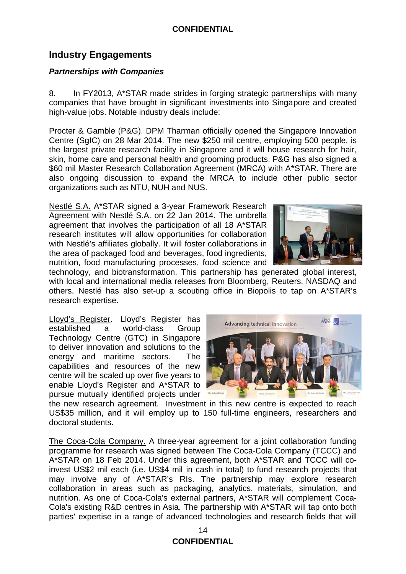# **Industry Engagements**

## **Partnerships with Companies**

In FY2013, A\*STAR made strides in forging strategic partnerships with many 8. companies that have brought in significant investments into Singapore and created high-value jobs. Notable industry deals include:

Procter & Gamble (P&G). DPM Tharman officially opened the Singapore Innovation Centre (SqlC) on 28 Mar 2014. The new \$250 mil centre, employing 500 people, is the largest private research facility in Singapore and it will house research for hair, skin, home care and personal health and grooming products. P&G has also signed a \$60 mil Master Research Collaboration Agreement (MRCA) with A\*STAR. There are also ongoing discussion to expand the MRCA to include other public sector organizations such as NTU, NUH and NUS.

Nestlé S.A. A\*STAR signed a 3-year Framework Research Agreement with Nestlé S.A. on 22 Jan 2014. The umbrella agreement that involves the participation of all 18 A\*STAR research institutes will allow opportunities for collaboration with Nestlé's affiliates globally. It will foster collaborations in the area of packaged food and beverages, food ingredients, nutrition, food manufacturing processes, food science and



technology, and biotransformation. This partnership has generated global interest, with local and international media releases from Bloomberg, Reuters, NASDAQ and others. Nestlé has also set-up a scouting office in Biopolis to tap on A\*STAR's research expertise.

Lloyd's Register. Lloyd's Register has established world-class a Group Technology Centre (GTC) in Singapore to deliver innovation and solutions to the energy and maritime sectors. **The** capabilities and resources of the new centre will be scaled up over five years to enable Lloyd's Register and A\*STAR to pursue mutually identified projects under



the new research agreement. Investment in this new centre is expected to reach US\$35 million, and it will employ up to 150 full-time engineers, researchers and doctoral students.

The Coca-Cola Company. A three-year agreement for a joint collaboration funding programme for research was signed between The Coca-Cola Company (TCCC) and A\*STAR on 18 Feb 2014. Under this agreement, both A\*STAR and TCCC will coinvest US\$2 mil each (i.e. US\$4 mil in cash in total) to fund research projects that may involve any of A\*STAR's RIs. The partnership may explore research collaboration in areas such as packaging, analytics, materials, simulation, and nutrition. As one of Coca-Cola's external partners, A\*STAR will complement Coca-Cola's existing R&D centres in Asia. The partnership with A\*STAR will tap onto both parties' expertise in a range of advanced technologies and research fields that will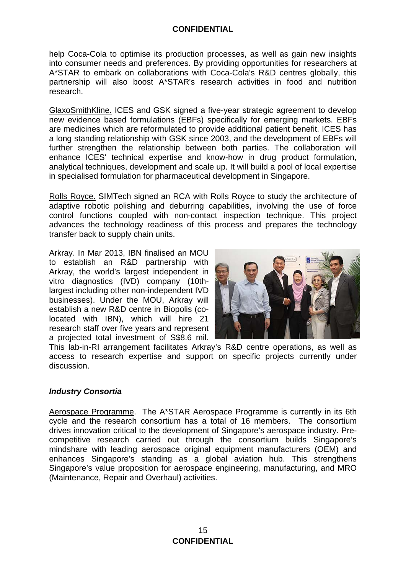help Coca-Cola to optimise its production processes, as well as gain new insights into consumer needs and preferences. By providing opportunities for researchers at A\*STAR to embark on collaborations with Coca-Cola's R&D centres globally, this partnership will also boost A\*STAR's research activities in food and nutrition research.

GlaxoSmithKline. ICES and GSK signed a five-year strategic agreement to develop new evidence based formulations (EBFs) specifically for emerging markets. EBFs are medicines which are reformulated to provide additional patient benefit. ICES has a long standing relationship with GSK since 2003, and the development of EBFs will further strengthen the relationship between both parties. The collaboration will enhance ICES' technical expertise and know-how in drug product formulation, analytical techniques, development and scale up. It will build a pool of local expertise in specialised formulation for pharmaceutical development in Singapore.

Rolls Royce. SIMTech signed an RCA with Rolls Royce to study the architecture of adaptive robotic polishing and deburring capabilities, involving the use of force control functions coupled with non-contact inspection technique. This project advances the technology readiness of this process and prepares the technology transfer back to supply chain units.

Arkray. In Mar 2013, IBN finalised an MOU to establish an R&D partnership with Arkray, the world's largest independent in vitro diagnostics (IVD) company (10thlargest including other non-independent IVD businesses). Under the MOU, Arkray will establish a new R&D centre in Biopolis (colocated with IBN), which will hire 21 research staff over five years and represent a projected total investment of S\$8.6 mil.



This lab-in-RI arrangement facilitates Arkray's R&D centre operations, as well as access to research expertise and support on specific projects currently under discussion.

#### *Industry Consortia*

Aerospace Programme. The A\*STAR Aerospace Programme is currently in its 6th cycle and the research consortium has a total of 16 members. The consortium drives innovation critical to the development of Singapore's aerospace industry. Precompetitive research carried out through the consortium builds Singapore's mindshare with leading aerospace original equipment manufacturers (OEM) and enhances Singapore's standing as a global aviation hub. This strengthens Singapore's value proposition for aerospace engineering, manufacturing, and MRO (Maintenance, Repair and Overhaul) activities.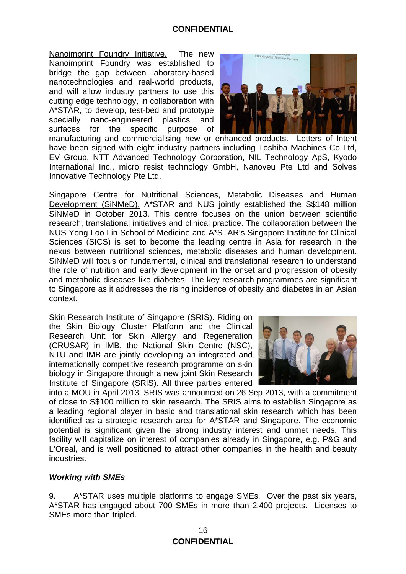Nanoimprint Foundry Initiative. The new Nanoimprint Foundry was established to bridge the gap between laboratory-based nanotechnologies and real-world products, and will allow industry partners to use this cutting edge technology, in collaboration with A\*STAR, to develop, test-bed and prototype nano-engineered specially plastics and surfaces for the specific purpose of



manufacturing and commercialising new or enhanced products. Letters of Intent have been signed with eight industry partners including Toshiba Machines Co Ltd. EV Group, NTT Advanced Technology Corporation, NIL Technology ApS, Kyodo International Inc., micro resist technology GmbH, Nanoveu Pte Ltd and Solves Innovative Technology Pte Ltd.

Singapore Centre for Nutritional Sciences, Metabolic Diseases and Human Development (SiNMeD). A\*STAR and NUS jointly established the S\$148 million SINMeD in October 2013. This centre focuses on the union between scientific research, translational initiatives and clinical practice. The collaboration between the NUS Yong Loo Lin School of Medicine and A\*STAR's Singapore Institute for Clinical Sciences (SICS) is set to become the leading centre in Asia for research in the nexus between nutritional sciences, metabolic diseases and human development. SiNMeD will focus on fundamental, clinical and translational research to understand the role of nutrition and early development in the onset and progression of obesity and metabolic diseases like diabetes. The key research programmes are significant to Singapore as it addresses the rising incidence of obesity and diabetes in an Asian context.

Skin Research Institute of Singapore (SRIS). Riding on the Skin Biology Cluster Platform and the Clinical Research Unit for Skin Allergy and Regeneration (CRUSAR) in IMB, the National Skin Centre (NSC), NTU and IMB are jointly developing an integrated and internationally competitive research programme on skin biology in Singapore through a new joint Skin Research Institute of Singapore (SRIS). All three parties entered



into a MOU in April 2013. SRIS was announced on 26 Sep 2013, with a commitment of close to S\$100 million to skin research. The SRIS aims to establish Singapore as a leading regional player in basic and translational skin research which has been identified as a strategic research area for A\*STAR and Singapore. The economic potential is significant given the strong industry interest and unmet needs. This facility will capitalize on interest of companies already in Singapore, e.g. P&G and L'Oreal, and is well positioned to attract other companies in the health and beauty industries.

#### **Working with SMEs**

9. A\*STAR uses multiple platforms to engage SMEs. Over the past six years, A\*STAR has engaged about 700 SMEs in more than 2,400 projects. Licenses to SMEs more than tripled.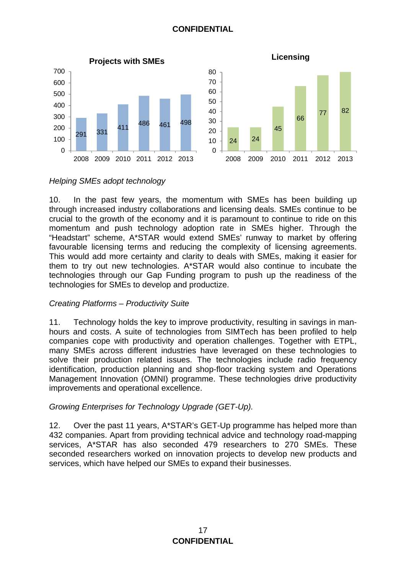



## *Helping SMEs adopt technology*

10. In the past few years, the momentum with SMEs has been building up through increased industry collaborations and licensing deals. SMEs continue to be crucial to the growth of the economy and it is paramount to continue to ride on this momentum and push technology adoption rate in SMEs higher. Through the "Headstart" scheme, A\*STAR would extend SMEs' runway to market by offering favourable licensing terms and reducing the complexity of licensing agreements. This would add more certainty and clarity to deals with SMEs, making it easier for them to try out new technologies. A\*STAR would also continue to incubate the technologies through our Gap Funding program to push up the readiness of the technologies for SMEs to develop and productize.

#### *Creating Platforms – Productivity Suite*

11. Technology holds the key to improve productivity, resulting in savings in manhours and costs. A suite of technologies from SIMTech has been profiled to help companies cope with productivity and operation challenges. Together with ETPL, many SMEs across different industries have leveraged on these technologies to solve their production related issues. The technologies include radio frequency identification, production planning and shop-floor tracking system and Operations Management Innovation (OMNI) programme. These technologies drive productivity improvements and operational excellence.

#### *Growing Enterprises for Technology Upgrade (GET-Up).*

12. Over the past 11 years, A\*STAR's GET-Up programme has helped more than 432 companies. Apart from providing technical advice and technology road-mapping services, A\*STAR has also seconded 479 researchers to 270 SMEs. These seconded researchers worked on innovation projects to develop new products and services, which have helped our SMEs to expand their businesses.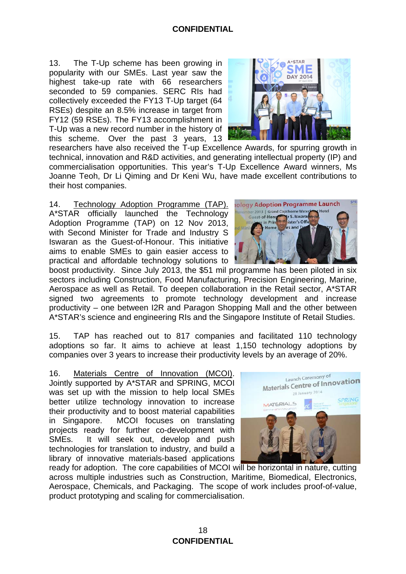13. The T-Up scheme has been growing in popularity with our SMEs. Last year saw the highest take-up rate with 66 researchers seconded to 59 companies. SERC RIs had collectively exceeded the FY13 T-Up target (64 RSEs) despite an 8.5% increase in target from FY12 (59 RSEs). The FY13 accomplishment in T-Up was a new record number in the history of this scheme. Over the past 3 years, 13



researchers have also received the T-up Excellence Awards, for spurring growth in technical, innovation and R&D activities, and generating intellectual property (IP) and commercialisation opportunities. This year's T-Up Excellence Award winners, Ms Joanne Teoh, Dr Li Qiming and Dr Keni Wu, have made excellent contributions to their host companies.

14. Technology Adoption Programme (TAP). A\*STAR officially launched the Technology Adoption Programme (TAP) on 12 Nov 2013, with Second Minister for Trade and Industry S Iswaran as the Guest-of-Honour. This initiative aims to enable SMEs to gain easier access to practical and affordable technology solutions to

boost productivity. Since July 2013, the \$51 mil programme has been piloted in six sectors including Construction, Food Manufacturing, Precision Engineering, Marine, Aerospace as well as Retail. To deepen collaboration in the Retail sector, A\*STAR signed two agreements to promote technology development and increase productivity – one between I2R and Paragon Shopping Mall and the other between A\*STAR's science and engineering RIs and the Singapore Institute of Retail Studies.

15. TAP has reached out to 817 companies and facilitated 110 technology adoptions so far. It aims to achieve at least 1,150 technology adoptions by companies over 3 years to increase their productivity levels by an average of 20%.

16. Materials Centre of Innovation (MCOI). Jointly supported by A\*STAR and SPRING, MCOI was set up with the mission to help local SMEs better utilize technology innovation to increase their productivity and to boost material capabilities in Singapore. MCOI focuses on translating projects ready for further co-development with SMEs. It will seek out, develop and push technologies for translation to industry, and build a library of innovative materials-based applications



ready for adoption. The core capabilities of MCOI will be horizontal in nature, cutting across multiple industries such as Construction, Maritime, Biomedical, Electronics, Aerospace, Chemicals, and Packaging. The scope of work includes proof-of-value, product prototyping and scaling for commercialisation.

**ology Adoption Programme Launch** ber 2013 | Grand Copthorne Water Guest-of-Hong r S. Iswara in Prin ister's Offiirs and T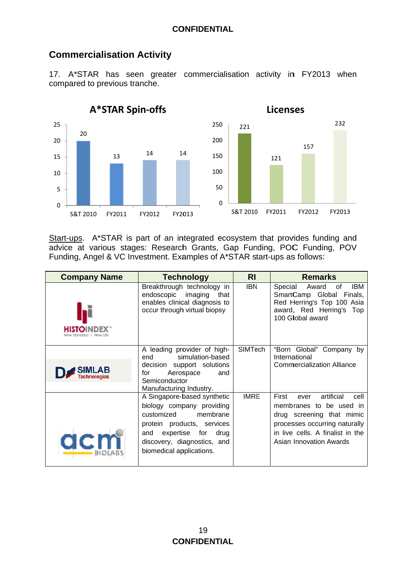# **Commercialisation Activity**

17. A\*STAR has seen greater commercialisation activity in FY2013 when compared to previous tranche.



Start-ups. A\*STAR is part of an integrated ecosystem that provides funding and advice at various stages: Research Grants, Gap Funding, POC Funding, POV Funding, Angel & VC Investment. Examples of A\*STAR start-ups as follows:

| <b>Company Name</b> | <b>Technology</b>                                                                                                                                                                                  | RI             | <b>Remarks</b>                                                                                                                                                                              |
|---------------------|----------------------------------------------------------------------------------------------------------------------------------------------------------------------------------------------------|----------------|---------------------------------------------------------------------------------------------------------------------------------------------------------------------------------------------|
| <b>HISTOINDEX</b>   | Breakthrough technology in<br>endoscopic imaging that<br>enables clinical diagnosis to<br>occur through virtual biopsy                                                                             | <b>IBN</b>     | Special Award<br>IBM.<br>of<br>SmartCamp Global Finals,<br>Red Herring's Top 100 Asia<br>award, Red Herring's Top<br>100 Global award                                                       |
|                     | A leading provider of high-<br>simulation-based<br>end                                                                                                                                             | <b>SIMTech</b> | "Born Global" Company by<br>International                                                                                                                                                   |
|                     | decision support solutions<br>Aerospace<br>for<br>and<br>Semiconductor<br>Manufacturing Industry.                                                                                                  |                | <b>Commercialization Alliance</b>                                                                                                                                                           |
| acm                 | A Singapore-based synthetic<br>biology company providing<br>customized membrane<br>protein products, services<br>and expertise for drug<br>discovery, diagnostics, and<br>biomedical applications. | <b>IMRE</b>    | First<br>artificial<br>ever<br>cell<br>membranes to be used in<br>drug screening that mimic<br>processes occurring naturally<br>in live cells. A finalist in the<br>Asian Innovation Awards |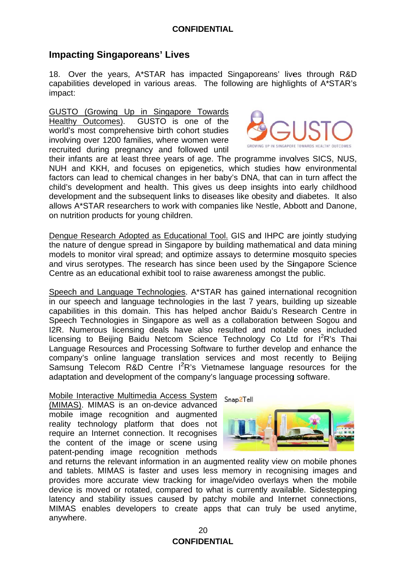# **Impacting Singaporeans' Lives**

18. Over the years, A\*STAR has impacted Singaporeans' lives through R&D capabilities developed in various areas. The following are highlights of A\*STAR's impact:

GUSTO (Growing Up in Singapore Towards Healthy Outcomes). GUSTO is one of the world's most comprehensive birth cohort studies involving over 1200 families, where women were recruited during pregnancy and followed until



their infants are at least three years of age. The programme involves SICS, NUS, NUH and KKH, and focuses on epigenetics, which studies how environmental factors can lead to chemical changes in her baby's DNA, that can in turn affect the child's development and health. This gives us deep insights into early childhood development and the subsequent links to diseases like obesity and diabetes. It also allows A\*STAR researchers to work with companies like Nestle. Abbott and Danone. on nutrition products for young children.

Dengue Research Adopted as Educational Tool. GIS and IHPC are jointly studying the nature of dengue spread in Singapore by building mathematical and data mining models to monitor viral spread; and optimize assays to determine mosquito species and virus serotypes. The research has since been used by the Singapore Science Centre as an educational exhibit tool to raise awareness amongst the public.

Speech and Language Technologies. A\*STAR has gained international recognition in our speech and language technologies in the last 7 years, building up sizeable capabilities in this domain. This has helped anchor Baidu's Research Centre in Speech Technologies in Singapore as well as a collaboration between Sogou and I2R. Numerous licensing deals have also resulted and notable ones included licensing to Beijing Baidu Netcom Science Technology Co Ltd for I<sup>2</sup>R's Thai Language Resources and Processing Software to further develop and enhance the company's online language translation services and most recently to Beijing Samsung Telecom R&D Centre I<sup>2</sup>R's Vietnamese language resources for the adaptation and development of the company's language processing software.

#### Mobile Interactive Multimedia Access System

(MIMAS). MIMAS is an on-device advanced mobile image recognition and augmented reality technology platform that does not require an Internet connection. It recognises the content of the image or scene using patent-pending image recognition methods



and returns the relevant information in an augmented reality view on mobile phones and tablets. MIMAS is faster and uses less memory in recognising images and provides more accurate view tracking for image/video overlays when the mobile device is moved or rotated, compared to what is currently available. Sidestepping latency and stability issues caused by patchy mobile and Internet connections, MIMAS enables developers to create apps that can truly be used anytime, anywhere.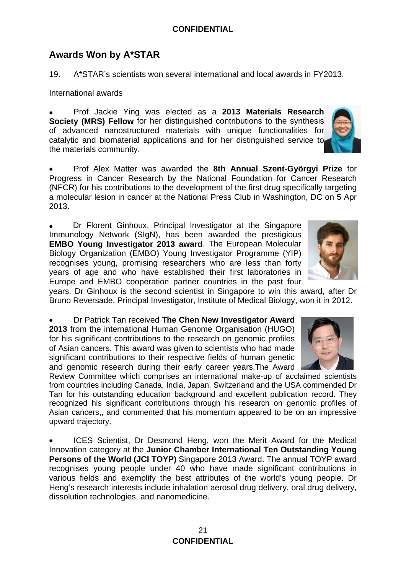# **Awards Won by A\*STAR**

19. A\*STAR's scientists won several international and local awards in FY2013.

### International awards

 Prof Jackie Ying was elected as a **2013 Materials Research Society (MRS) Fellow** for her distinguished contributions to the synthesis of advanced nanostructured materials with unique functionalities for catalytic and biomaterial applications and for her distinguished service to the materials community.

 Prof Alex Matter was awarded the **8th Annual Szent-Györgyi Prize** for Progress in Cancer Research by the National Foundation for Cancer Research (NFCR) for his contributions to the development of the first drug specifically targeting a molecular lesion in cancer at the National Press Club in Washington, DC on 5 Apr 2013.

 Dr Florent Ginhoux, Principal Investigator at the Singapore Immunology Network (SIgN), has been awarded the prestigious **EMBO Young Investigator 2013 award**. The European Molecular Biology Organization (EMBO) Young Investigator Programme (YIP) recognises young, promising researchers who are less than forty years of age and who have established their first laboratories in Europe and EMBO cooperation partner countries in the past four

years. Dr Ginhoux is the second scientist in Singapore to win this award, after Dr Bruno Reversade, Principal Investigator, Institute of Medical Biology, won it in 2012.

 Dr Patrick Tan received **The Chen New Investigator Award 2013** from the international Human Genome Organisation (HUGO) for his significant contributions to the research on genomic profiles of Asian cancers. This award was given to scientists who had made significant contributions to their respective fields of human genetic and genomic research during their early career years.The Award

Review Committee which comprises an international make-up of acclaimed scientists from countries including Canada, India, Japan, Switzerland and the USA commended Dr Tan for his outstanding education background and excellent publication record. They recognized his significant contributions through his research on genomic profiles of Asian cancers,, and commented that his momentum appeared to be on an impressive upward trajectory.

 ICES Scientist, Dr Desmond Heng, won the Merit Award for the Medical Innovation category at the **Junior Chamber International Ten Outstanding Young Persons of the World (JCI TOYP)** Singapore 2013 Award. The annual TOYP award recognises young people under 40 who have made significant contributions in various fields and exemplify the best attributes of the world's young people. Dr Heng's research interests include inhalation aerosol drug delivery, oral drug delivery, dissolution technologies, and nanomedicine.





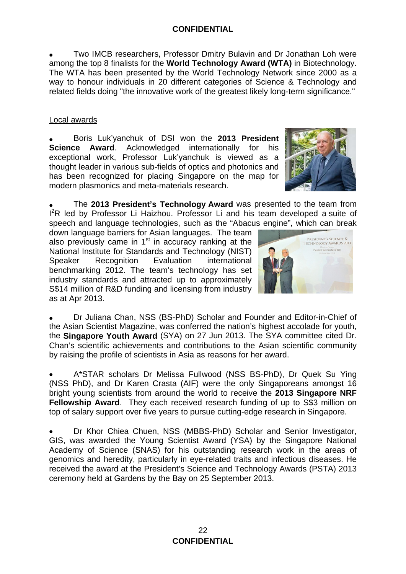Two IMCB researchers, Professor Dmitry Bulavin and Dr Jonathan Loh were among the top 8 finalists for the **World Technology Award (WTA)** in Biotechnology. The WTA has been presented by the World Technology Network since 2000 as a way to honour individuals in 20 different categories of Science & Technology and related fields doing "the innovative work of the greatest likely long-term significance."

## Local awards

 Boris Luk'yanchuk of DSI won the **2013 President Science Award**. Acknowledged internationally for his exceptional work, Professor Luk'yanchuk is viewed as a thought leader in various sub-fields of optics and photonics and has been recognized for placing Singapore on the map for modern plasmonics and meta-materials research.



 The **2013 President's Technology Award** was presented to the team from I<sup>2</sup>R led by Professor Li Haizhou. Professor Li and his team developed a suite of speech and language technologies, such as the "Abacus engine", which can break

down language barriers for Asian languages. The team also previously came in  $1<sup>st</sup>$  in accuracy ranking at the National Institute for Standards and Technology (NIST) Speaker Recognition Evaluation international benchmarking 2012. The team's technology has set industry standards and attracted up to approximately S\$14 million of R&D funding and licensing from industry as at Apr 2013.



 Dr Juliana Chan, NSS (BS-PhD) Scholar and Founder and Editor-in-Chief of the Asian Scientist Magazine, was conferred the nation's highest accolade for youth, the **Singapore Youth Award** (SYA) on 27 Jun 2013. The SYA committee cited Dr. Chan's scientific achievements and contributions to the Asian scientific community by raising the profile of scientists in Asia as reasons for her award.

 A\*STAR scholars Dr Melissa Fullwood (NSS BS-PhD), Dr Quek Su Ying (NSS PhD), and Dr Karen Crasta (AIF) were the only Singaporeans amongst 16 bright young scientists from around the world to receive the **2013 Singapore NRF Fellowship Award.** They each received research funding of up to S\$3 million on top of salary support over five years to pursue cutting-edge research in Singapore.

 Dr Khor Chiea Chuen, NSS (MBBS-PhD) Scholar and Senior Investigator, GIS, was awarded the Young Scientist Award (YSA) by the Singapore National Academy of Science (SNAS) for his outstanding research work in the areas of genomics and heredity, particularly in eye-related traits and infectious diseases. He received the award at the President's Science and Technology Awards (PSTA) 2013 ceremony held at Gardens by the Bay on 25 September 2013.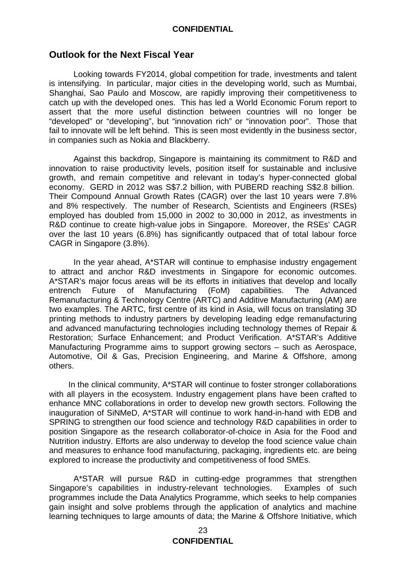## **Outlook for the Next Fiscal Year**

Looking towards FY2014, global competition for trade, investments and talent is intensifying. In particular, major cities in the developing world, such as Mumbai, Shanghai, Sao Paulo and Moscow, are rapidly improving their competitiveness to catch up with the developed ones. This has led a World Economic Forum report to assert that the more useful distinction between countries will no longer be "developed" or "developing", but "innovation rich" or "innovation poor". Those that fail to innovate will be left behind. This is seen most evidently in the business sector, in companies such as Nokia and Blackberry.

Against this backdrop, Singapore is maintaining its commitment to R&D and innovation to raise productivity levels, position itself for sustainable and inclusive growth, and remain competitive and relevant in today's hyper-connected global economy. GERD in 2012 was S\$7.2 billion, with PUBERD reaching S\$2.8 billion. Their Compound Annual Growth Rates (CAGR) over the last 10 years were 7.8% and 8% respectively. The number of Research, Scientists and Engineers (RSEs) employed has doubled from 15,000 in 2002 to 30,000 in 2012, as investments in R&D continue to create high-value jobs in Singapore. Moreover, the RSEs' CAGR over the last 10 years (6.8%) has significantly outpaced that of total labour force CAGR in Singapore (3.8%).

In the year ahead, A\*STAR will continue to emphasise industry engagement to attract and anchor R&D investments in Singapore for economic outcomes. A\*STAR's major focus areas will be its efforts in initiatives that develop and locally entrench Future of Manufacturing (FoM) capabilities. The Advanced Remanufacturing & Technology Centre (ARTC) and Additive Manufacturing (AM) are two examples. The ARTC, first centre of its kind in Asia, will focus on translating 3D printing methods to industry partners by developing leading edge remanufacturing and advanced manufacturing technologies including technology themes of Repair & Restoration; Surface Enhancement; and Product Verification. A\*STAR's Additive Manufacturing Programme aims to support growing sectors – such as Aerospace, Automotive, Oil & Gas, Precision Engineering, and Marine & Offshore, among others.

 In the clinical community, A\*STAR will continue to foster stronger collaborations with all players in the ecosystem. Industry engagement plans have been crafted to enhance MNC collaborations in order to develop new growth sectors. Following the inauguration of SiNMeD, A\*STAR will continue to work hand-in-hand with EDB and SPRING to strengthen our food science and technology R&D capabilities in order to position Singapore as the research collaborator-of-choice in Asia for the Food and Nutrition industry. Efforts are also underway to develop the food science value chain and measures to enhance food manufacturing, packaging, ingredients etc. are being explored to increase the productivity and competitiveness of food SMEs.

A\*STAR will pursue R&D in cutting-edge programmes that strengthen Singapore's capabilities in industry-relevant technologies. Examples of such programmes include the Data Analytics Programme, which seeks to help companies gain insight and solve problems through the application of analytics and machine learning techniques to large amounts of data; the Marine & Offshore Initiative, which